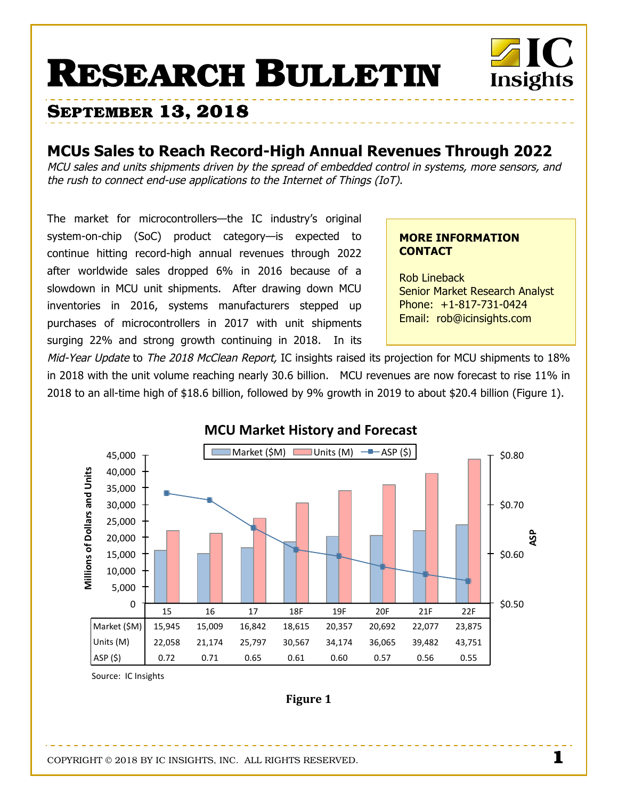# **RESEARCH BULLETIN**



# **MCUs Sales to Reach Record-High Annual Revenues Through 2022**

MCU sales and units shipments driven by the spread of embedded control in systems, more sensors, and the rush to connect end-use applications to the Internet of Things (IoT).

The market for microcontrollers-the IC industry's original system-on-chip (SoC) product category-is expected to continue hitting record-high annual revenues through 2022 after worldwide sales dropped 6% in 2016 because of a slowdown in MCU unit shipments. After drawing down MCU inventories in 2016, systems manufacturers stepped up purchases of microcontrollers in 2017 with unit shipments surging 22% and strong growth continuing in 2018. In its

## **MORE INFORMATION CONTACT**

**Rob Lineback Senior Market Research Analyst** Phone: +1-817-731-0424 Email: rob@icinsights.com

Insights

Mid-Year Update to The 2018 McClean Report, IC insights raised its projection for MCU shipments to 18% in 2018 with the unit volume reaching nearly 30.6 billion. MCU revenues are now forecast to rise 11% in 2018 to an all-time high of \$18.6 billion, followed by 9% growth in 2019 to about \$20.4 billion (Figure 1).



Source: IC Insights

Figure 1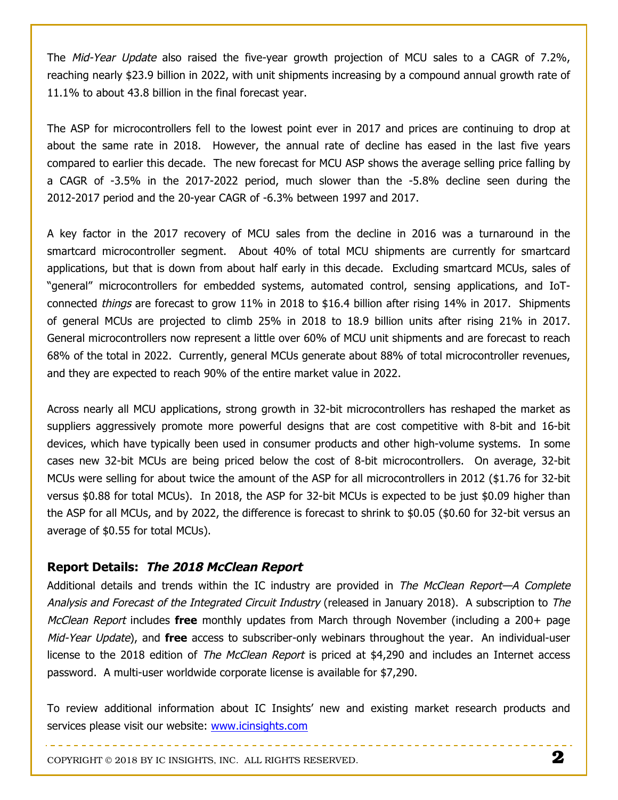The *Mid-Year Update* also raised the five-year growth projection of MCU sales to a CAGR of 7.2%, reaching nearly \$23.9 billion in 2022, with unit shipments increasing by a compound annual growth rate of 11.1% to about 43.8 billion in the final forecast year.

The ASP for microcontrollers fell to the lowest point ever in 2017 and prices are continuing to drop at about the same rate in 2018. However, the annual rate of decline has eased in the last five years compared to earlier this decade. The new forecast for MCU ASP shows the average selling price falling by a CAGR of -3.5% in the 2017-2022 period, much slower than the -5.8% decline seen during the 2012-2017 period and the 20-year CAGR of -6.3% between 1997 and 2017.

A key factor in the 2017 recovery of MCU sales from the decline in 2016 was a turnaround in the smartcard microcontroller segment. About 40% of total MCU shipments are currently for smartcard applications, but that is down from about half early in this decade. Excluding smartcard MCUs, sales of "general" microcontrollers for embedded systems, automated control, sensing applications, and IoTconnected things are forecast to grow 11% in 2018 to \$16.4 billion after rising 14% in 2017. Shipments of general MCUs are projected to climb 25% in 2018 to 18.9 billion units after rising 21% in 2017. General microcontrollers now represent a little over 60% of MCU unit shipments and are forecast to reach 68% of the total in 2022. Currently, general MCUs generate about 88% of total microcontroller revenues, and they are expected to reach 90% of the entire market value in 2022.

Across nearly all MCU applications, strong growth in 32-bit microcontrollers has reshaped the market as suppliers aggressively promote more powerful designs that are cost competitive with 8-bit and 16-bit devices, which have typically been used in consumer products and other high-volume systems. In some cases new 32-bit MCUs are being priced below the cost of 8-bit microcontrollers. On average, 32-bit MCUs were selling for about twice the amount of the ASP for all microcontrollers in 2012 (\$1.76 for 32-bit versus \$0.88 for total MCUs). In 2018, the ASP for 32-bit MCUs is expected to be just \$0.09 higher than the ASP for all MCUs, and by 2022, the difference is forecast to shrink to \$0.05 (\$0.60 for 32-bit versus an average of \$0.55 for total MCUs).

### **Report Details: The 2018 McClean Report**

Additional details and trends within the IC industry are provided in The McClean Report—A Complete Analysis and Forecast of the Integrated Circuit Industry (released in January 2018). A subscription to The McClean Report includes **free** monthly updates from March through November (including a 200+ page Mid-Year Update), and **free** access to subscriber-only webinars throughout the year. An individual-user license to the 2018 edition of *The McClean Report* is priced at \$4,290 and includes an Internet access password. A multi-user worldwide corporate license is available for \$7,290.

To review additional information about IC Insights' new and existing market research products and services please visit our website: www.icinsights.com

COPYRIGHT © 2018 BY IC INSIGHTS, INC. ALL RIGHTS RESERVED. **2**